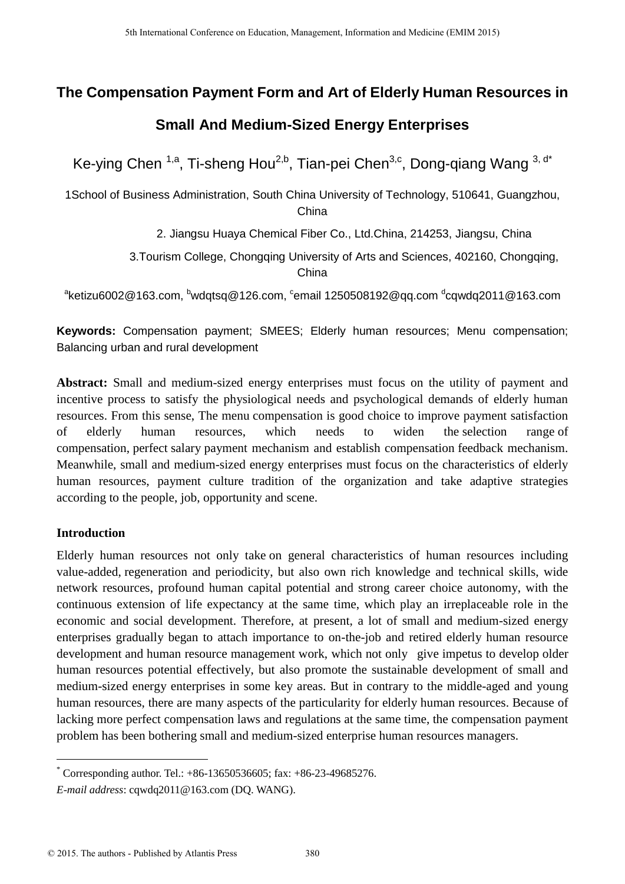# **The Compensation Payment Form and Art of Elderly Human Resources in**

# **Small And Medium-Sized Energy Enterprises**

Ke-ying Chen <sup>1,a</sup>, Ti-sheng Hou<sup>2,b</sup>, Tian-pei Chen<sup>3,c</sup>, Dong-qiang Wang <sup>3, d\*</sup>

1School of Business Administration, South China University of Technology, 510641, Guangzhou, China

2. Jiangsu Huaya Chemical Fiber Co., Ltd.China, 214253, Jiangsu, China

3.Tourism College, Chongqing University of Arts and Sciences, 402160, Chongqing, China

 $^{\text{a}}$ ketizu6002@163.com,  $^{\text{b}}$ wdqtsq@126.com,  $^{\text{c}}$ email 1250508192@qq.com  $^{\text{d}}$ cqwdq2011@163.com

**Keywords:** Compensation payment; SMEES; Elderly human resources; Menu compensation; Balancing urban and rural development

**Abstract:** Small and medium-sized energy enterprises must focus on the utility of payment and incentive process to satisfy the physiological needs and psychological demands of elderly human resources. From this sense, The menu compensation is good choice to improve payment satisfaction of elderly human resources, which needs to widen the selection range of compensation, perfect salary payment mechanism and establish compensation feedback mechanism. Meanwhile, small and medium-sized energy enterprises must focus on the characteristics of elderly human resources, payment culture tradition of the organization and take adaptive strategies according to the people, job, opportunity and scene.

# **Introduction**

<u>.</u>

Elderly human resources not only take on general characteristics of human resources including value-added, regeneration and periodicity, but also own rich knowledge and technical skills, wide network resources, profound human capital potential and strong career choice autonomy, with the continuous extension of life expectancy at the same time, which play an irreplaceable role in the economic and social development. Therefore, at present, a lot of small and medium-sized energy enterprises gradually began to attach importance to on-the-job and retired elderly human resource development and human resource management work, which not only give impetus to develop older human resources potential effectively, but also promote the sustainable development of small and medium-sized energy enterprises in some key areas. But in contrary to the middle-aged and young human resources, there are many aspects of the particularity for elderly human resources. Because of lacking more perfect compensation laws and regulations at the same time, the compensation payment problem has been bothering small and medium-sized enterprise human resources managers.

 $^{\circ}$  Corresponding author. Tel.: +86-13650536605; fax: +86-23-49685276.

*E-mail address*: cqwdq2011@163.com (DQ. WANG).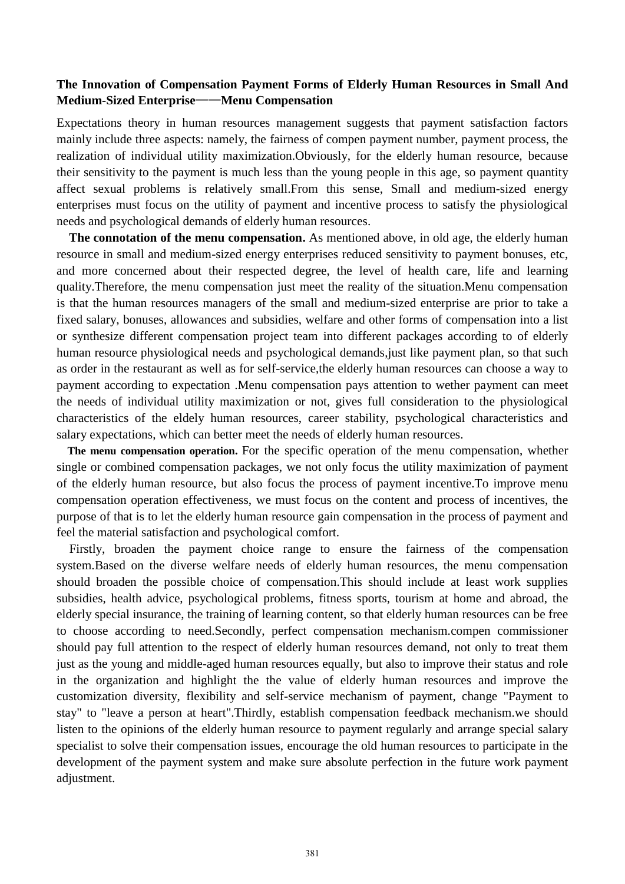## **The Innovation of Compensation Payment Forms of Elderly Human Resources in Small And Medium-Sized Enterprise**——**Menu Compensation**

Expectations theory in human resources management suggests that payment satisfaction factors mainly include three aspects: namely, the fairness of compen payment number, payment process, the realization of individual utility maximization.Obviously, for the elderly human resource, because their sensitivity to the payment is much less than the young people in this age, so payment quantity affect sexual problems is relatively small.From this sense, Small and medium-sized energy enterprises must focus on the utility of payment and incentive process to satisfy the physiological needs and psychological demands of elderly human resources.

**The connotation of the menu compensation.** As mentioned above, in old age, the elderly human resource in small and medium-sized energy enterprises reduced sensitivity to payment bonuses, etc, and more concerned about their respected degree, the level of health care, life and learning quality.Therefore, the menu compensation just meet the reality of the situation.Menu compensation is that the human resources managers of the small and medium-sized enterprise are prior to take a fixed salary, bonuses, allowances and subsidies, welfare and other forms of compensation into a list or synthesize different compensation project team into different packages according to of elderly human resource physiological needs and psychological demands,just like payment plan, so that such as order in the restaurant as well as for self-service,the elderly human resources can choose a way to payment according to expectation .Menu compensation pays attention to wether payment can meet the needs of individual utility maximization or not, gives full consideration to the physiological characteristics of the eldely human resources, career stability, psychological characteristics and salary expectations, which can better meet the needs of elderly human resources.

**The menu compensation operation.** For the specific operation of the menu compensation, whether single or combined compensation packages, we not only focus the utility maximization of payment of the elderly human resource, but also focus the process of payment incentive.To improve menu compensation operation effectiveness, we must focus on the content and process of incentives, the purpose of that is to let the elderly human resource gain compensation in the process of payment and feel the material satisfaction and psychological comfort.

Firstly, broaden the payment choice range to ensure the fairness of the compensation system.Based on the diverse welfare needs of elderly human resources, the menu compensation should broaden the possible choice of compensation.This should include at least work supplies subsidies, health advice, psychological problems, fitness sports, tourism at home and abroad, the elderly special insurance, the training of learning content, so that elderly human resources can be free to choose according to need.Secondly, perfect compensation mechanism.compen commissioner should pay full attention to the respect of elderly human resources demand, not only to treat them just as the young and middle-aged human resources equally, but also to improve their status and role in the organization and highlight the the value of elderly human resources and improve the customization diversity, flexibility and self-service mechanism of payment, change "Payment to stay" to "leave a person at heart".Thirdly, establish compensation feedback mechanism.we should listen to the opinions of the elderly human resource to payment regularly and arrange special salary specialist to solve their compensation issues, encourage the old human resources to participate in the development of the payment system and make sure absolute perfection in the future work payment adjustment.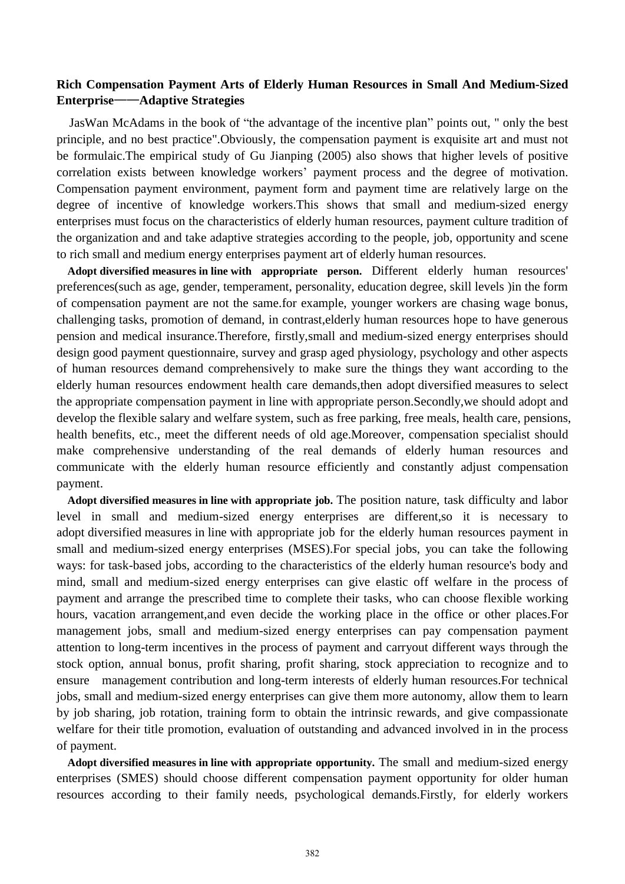# **Rich Compensation Payment Arts of Elderly Human Resources in Small And Medium-Sized Enterprise**——**Adaptive Strategies**

 JasWan McAdams in the book of "the advantage of the incentive plan" points out, " only the best principle, and no best practice".Obviously, the compensation payment is exquisite art and must not be formulaic.The empirical study of Gu Jianping (2005) also shows that higher levels of positive correlation exists between knowledge workers' payment process and the degree of motivation. Compensation payment environment, payment form and payment time are relatively large on the degree of incentive of knowledge workers.This shows that small and medium-sized energy enterprises must focus on the characteristics of elderly human resources, payment culture tradition of the organization and and take adaptive strategies according to the people, job, opportunity and scene to rich small and medium energy enterprises payment art of elderly human resources.

**Adopt diversified measures in line with appropriate person.** Different elderly human resources' preferences(such as age, gender, temperament, personality, education degree, skill levels )in the form of compensation payment are not the same.for example, younger workers are chasing wage bonus, challenging tasks, promotion of demand, in contrast,elderly human resources hope to have generous pension and medical insurance.Therefore, firstly,small and medium-sized energy enterprises should design good payment questionnaire, survey and grasp aged physiology, psychology and other aspects of human resources demand comprehensively to make sure the things they want according to the elderly human resources endowment health care demands,then adopt diversified measures to select the appropriate compensation payment in line with appropriate person.Secondly,we should adopt and develop the flexible salary and welfare system, such as free parking, free meals, health care, pensions, health benefits, etc., meet the different needs of old age.Moreover, compensation specialist should make comprehensive understanding of the real demands of elderly human resources and communicate with the elderly human resource efficiently and constantly adjust compensation payment.

**Adopt diversified measures in line with appropriate job.** The position nature, task difficulty and labor level in small and medium-sized energy enterprises are different,so it is necessary to adopt diversified measures in line with appropriate job for the elderly human resources payment in small and medium-sized energy enterprises (MSES).For special jobs, you can take the following ways: for task-based jobs, according to the characteristics of the elderly human resource's body and mind, small and medium-sized energy enterprises can give elastic off welfare in the process of payment and arrange the prescribed time to complete their tasks, who can choose flexible working hours, vacation arrangement,and even decide the working place in the office or other places.For management jobs, small and medium-sized energy enterprises can pay compensation payment attention to long-term incentives in the process of payment and carryout different ways through the stock option, annual bonus, profit sharing, profit sharing, stock appreciation to recognize and to ensure management contribution and long-term interests of elderly human resources.For technical jobs, small and medium-sized energy enterprises can give them more autonomy, allow them to learn by job sharing, job rotation, training form to obtain the intrinsic rewards, and give compassionate welfare for their title promotion, evaluation of outstanding and advanced involved in in the process of payment.

**Adopt diversified measures in line with appropriate opportunity.** The small and medium-sized energy enterprises (SMES) should choose different compensation payment opportunity for older human resources according to their family needs, psychological demands.Firstly, for elderly workers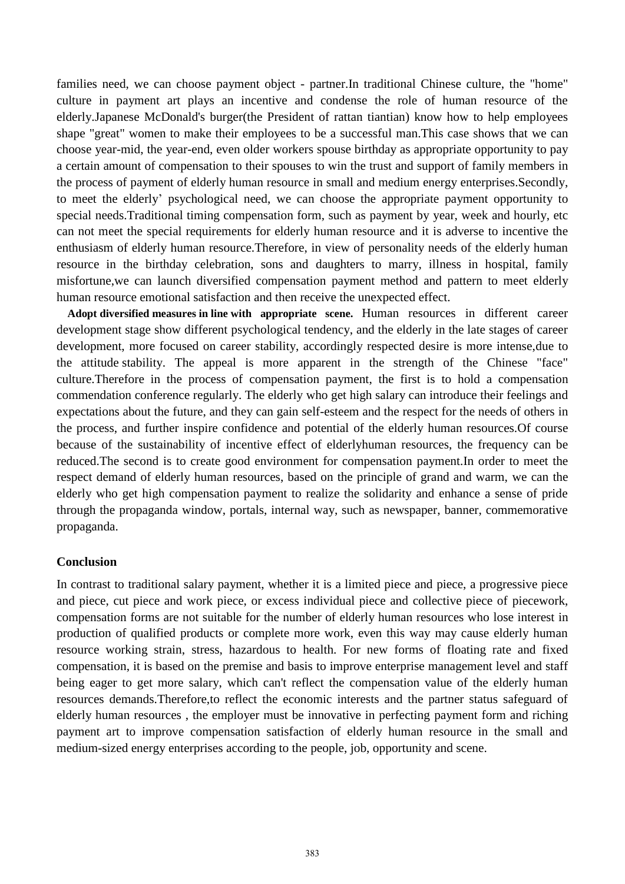families need, we can choose payment object - partner.In traditional Chinese culture, the "home" culture in payment art plays an incentive and condense the role of human resource of the elderly.Japanese McDonald's burger(the President of rattan tiantian) know how to help employees shape "great" women to make their employees to be a successful man.This case shows that we can choose year-mid, the year-end, even older workers spouse birthday as appropriate opportunity to pay a certain amount of compensation to their spouses to win the trust and support of family members in the process of payment of elderly human resource in small and medium energy enterprises.Secondly, to meet the elderly' psychological need, we can choose the appropriate payment opportunity to special needs.Traditional timing compensation form, such as payment by year, week and hourly, etc can not meet the special requirements for elderly human resource and it is adverse to incentive the enthusiasm of elderly human resource.Therefore, in view of personality needs of the elderly human resource in the birthday celebration, sons and daughters to marry, illness in hospital, family misfortune,we can launch diversified compensation payment method and pattern to meet elderly human resource emotional satisfaction and then receive the unexpected effect.

**Adopt diversified measures in line with appropriate scene.** Human resources in different career development stage show different psychological tendency, and the elderly in the late stages of career development, more focused on career stability, accordingly respected desire is more intense,due to the attitude stability. The appeal is more apparent in the strength of the Chinese "face" culture.Therefore in the process of compensation payment, the first is to hold a compensation commendation conference regularly. The elderly who get high salary can introduce their feelings and expectations about the future, and they can gain self-esteem and the respect for the needs of others in the process, and further inspire confidence and potential of the elderly human resources.Of course because of the sustainability of incentive effect of elderlyhuman resources, the frequency can be reduced.The second is to create good environment for compensation payment.In order to meet the respect demand of elderly human resources, based on the principle of grand and warm, we can the elderly who get high compensation payment to realize the solidarity and enhance a sense of pride through the propaganda window, portals, internal way, such as newspaper, banner, commemorative propaganda.

#### **Conclusion**

In contrast to traditional salary payment, whether it is a limited piece and piece, a progressive piece and piece, cut piece and work piece, or excess individual piece and collective piece of piecework, compensation forms are not suitable for the number of elderly human resources who lose interest in production of qualified products or complete more work, even this way may cause elderly human resource working strain, stress, hazardous to health. For new forms of floating rate and fixed compensation, it is based on the premise and basis to improve enterprise management level and staff being eager to get more salary, which can't reflect the compensation value of the elderly human resources demands.Therefore,to reflect the economic interests and the partner status safeguard of elderly human resources , the employer must be innovative in perfecting payment form and riching payment art to improve compensation satisfaction of elderly human resource in the small and medium-sized energy enterprises according to the people, job, opportunity and scene.